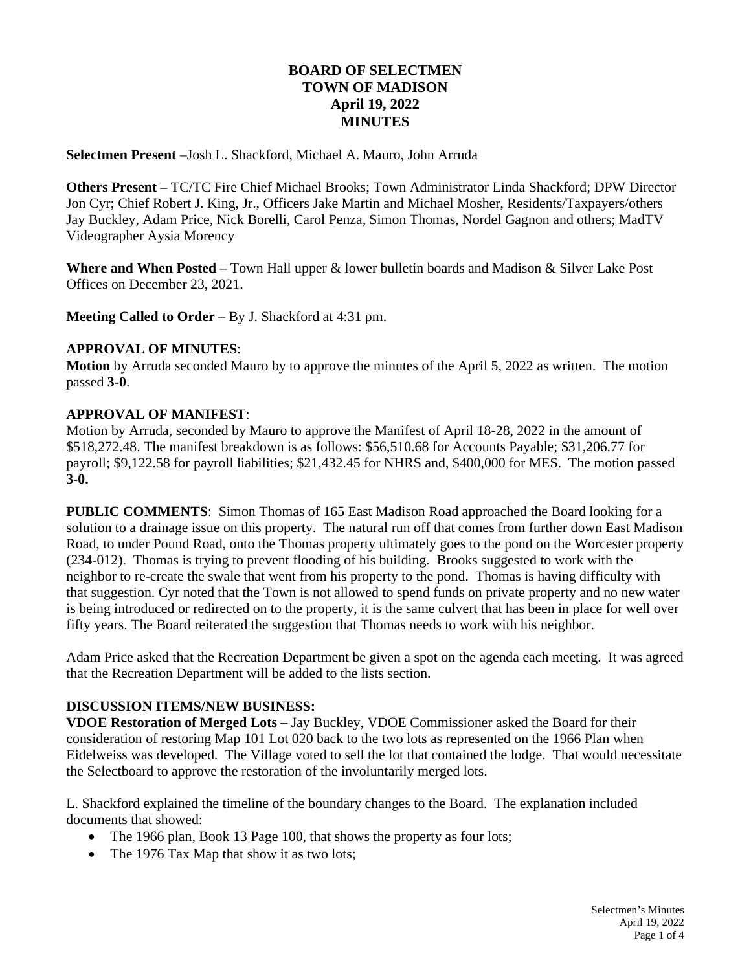# **BOARD OF SELECTMEN TOWN OF MADISON April 19, 2022 MINUTES**

**Selectmen Present** –Josh L. Shackford, Michael A. Mauro, John Arruda

**Others Present –** TC/TC Fire Chief Michael Brooks; Town Administrator Linda Shackford; DPW Director Jon Cyr; Chief Robert J. King, Jr., Officers Jake Martin and Michael Mosher, Residents/Taxpayers/others Jay Buckley, Adam Price, Nick Borelli, Carol Penza, Simon Thomas, Nordel Gagnon and others; MadTV Videographer Aysia Morency

**Where and When Posted** – Town Hall upper & lower bulletin boards and Madison & Silver Lake Post Offices on December 23, 2021.

**Meeting Called to Order** – By J. Shackford at 4:31 pm.

#### **APPROVAL OF MINUTES**:

**Motion** by Arruda seconded Mauro by to approve the minutes of the April 5, 2022 as written. The motion passed **3-0**.

#### **APPROVAL OF MANIFEST**:

Motion by Arruda, seconded by Mauro to approve the Manifest of April 18-28, 2022 in the amount of \$518,272.48. The manifest breakdown is as follows: \$56,510.68 for Accounts Payable; \$31,206.77 for payroll; \$9,122.58 for payroll liabilities; \$21,432.45 for NHRS and, \$400,000 for MES. The motion passed **3-0.**

**PUBLIC COMMENTS**: Simon Thomas of 165 East Madison Road approached the Board looking for a solution to a drainage issue on this property. The natural run off that comes from further down East Madison Road, to under Pound Road, onto the Thomas property ultimately goes to the pond on the Worcester property (234-012). Thomas is trying to prevent flooding of his building. Brooks suggested to work with the neighbor to re-create the swale that went from his property to the pond. Thomas is having difficulty with that suggestion. Cyr noted that the Town is not allowed to spend funds on private property and no new water is being introduced or redirected on to the property, it is the same culvert that has been in place for well over fifty years. The Board reiterated the suggestion that Thomas needs to work with his neighbor.

Adam Price asked that the Recreation Department be given a spot on the agenda each meeting. It was agreed that the Recreation Department will be added to the lists section.

### **DISCUSSION ITEMS/NEW BUSINESS:**

**VDOE Restoration of Merged Lots –** Jay Buckley, VDOE Commissioner asked the Board for their consideration of restoring Map 101 Lot 020 back to the two lots as represented on the 1966 Plan when Eidelweiss was developed. The Village voted to sell the lot that contained the lodge. That would necessitate the Selectboard to approve the restoration of the involuntarily merged lots.

L. Shackford explained the timeline of the boundary changes to the Board. The explanation included documents that showed:

- The 1966 plan, Book 13 Page 100, that shows the property as four lots;
- The 1976 Tax Map that show it as two lots;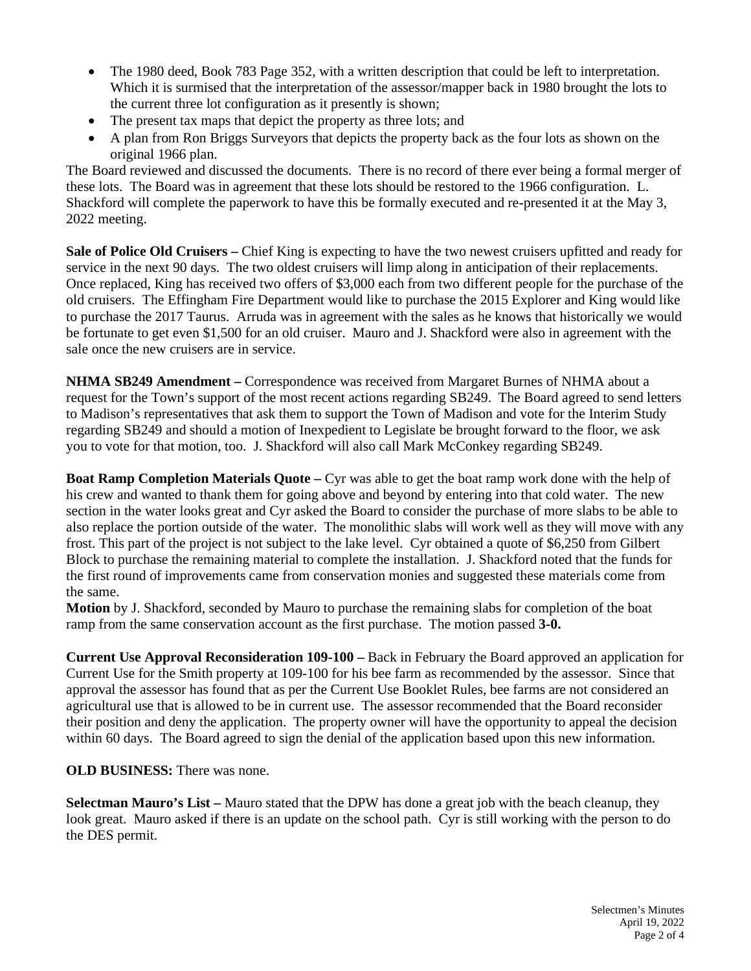- The 1980 deed, Book 783 Page 352, with a written description that could be left to interpretation. Which it is surmised that the interpretation of the assessor/mapper back in 1980 brought the lots to the current three lot configuration as it presently is shown;
- The present tax maps that depict the property as three lots; and
- A plan from Ron Briggs Surveyors that depicts the property back as the four lots as shown on the original 1966 plan.

The Board reviewed and discussed the documents. There is no record of there ever being a formal merger of these lots. The Board was in agreement that these lots should be restored to the 1966 configuration. L. Shackford will complete the paperwork to have this be formally executed and re-presented it at the May 3, 2022 meeting.

**Sale of Police Old Cruisers –** Chief King is expecting to have the two newest cruisers upfitted and ready for service in the next 90 days. The two oldest cruisers will limp along in anticipation of their replacements. Once replaced, King has received two offers of \$3,000 each from two different people for the purchase of the old cruisers. The Effingham Fire Department would like to purchase the 2015 Explorer and King would like to purchase the 2017 Taurus. Arruda was in agreement with the sales as he knows that historically we would be fortunate to get even \$1,500 for an old cruiser. Mauro and J. Shackford were also in agreement with the sale once the new cruisers are in service.

**NHMA SB249 Amendment –** Correspondence was received from Margaret Burnes of NHMA about a request for the Town's support of the most recent actions regarding SB249. The Board agreed to send letters to Madison's representatives that ask them to support the Town of Madison and vote for the Interim Study regarding SB249 and should a motion of Inexpedient to Legislate be brought forward to the floor, we ask you to vote for that motion, too. J. Shackford will also call Mark McConkey regarding SB249.

**Boat Ramp Completion Materials Quote –** Cyr was able to get the boat ramp work done with the help of his crew and wanted to thank them for going above and beyond by entering into that cold water. The new section in the water looks great and Cyr asked the Board to consider the purchase of more slabs to be able to also replace the portion outside of the water. The monolithic slabs will work well as they will move with any frost. This part of the project is not subject to the lake level. Cyr obtained a quote of \$6,250 from Gilbert Block to purchase the remaining material to complete the installation. J. Shackford noted that the funds for the first round of improvements came from conservation monies and suggested these materials come from the same.

**Motion** by J. Shackford, seconded by Mauro to purchase the remaining slabs for completion of the boat ramp from the same conservation account as the first purchase. The motion passed **3-0.**

**Current Use Approval Reconsideration 109-100 –** Back in February the Board approved an application for Current Use for the Smith property at 109-100 for his bee farm as recommended by the assessor. Since that approval the assessor has found that as per the Current Use Booklet Rules, bee farms are not considered an agricultural use that is allowed to be in current use. The assessor recommended that the Board reconsider their position and deny the application. The property owner will have the opportunity to appeal the decision within 60 days. The Board agreed to sign the denial of the application based upon this new information.

# **OLD BUSINESS:** There was none.

**Selectman Mauro's List –** Mauro stated that the DPW has done a great job with the beach cleanup, they look great. Mauro asked if there is an update on the school path. Cyr is still working with the person to do the DES permit.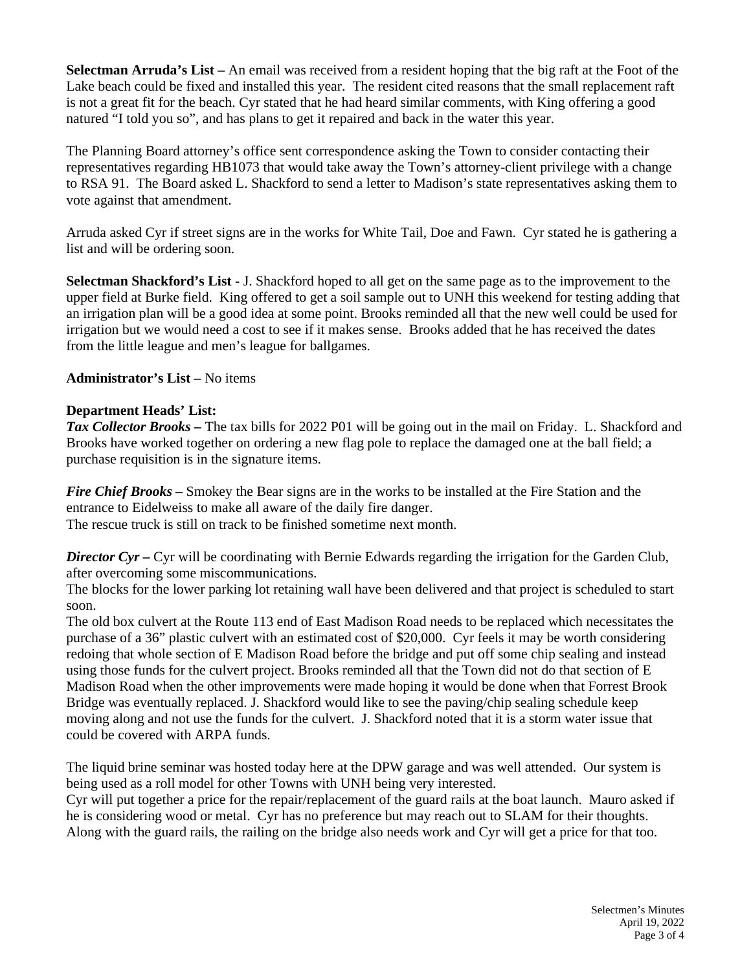**Selectman Arruda's List –** An email was received from a resident hoping that the big raft at the Foot of the Lake beach could be fixed and installed this year. The resident cited reasons that the small replacement raft is not a great fit for the beach. Cyr stated that he had heard similar comments, with King offering a good natured "I told you so", and has plans to get it repaired and back in the water this year.

The Planning Board attorney's office sent correspondence asking the Town to consider contacting their representatives regarding HB1073 that would take away the Town's attorney-client privilege with a change to RSA 91. The Board asked L. Shackford to send a letter to Madison's state representatives asking them to vote against that amendment.

Arruda asked Cyr if street signs are in the works for White Tail, Doe and Fawn. Cyr stated he is gathering a list and will be ordering soon.

**Selectman Shackford's List -** J. Shackford hoped to all get on the same page as to the improvement to the upper field at Burke field. King offered to get a soil sample out to UNH this weekend for testing adding that an irrigation plan will be a good idea at some point. Brooks reminded all that the new well could be used for irrigation but we would need a cost to see if it makes sense. Brooks added that he has received the dates from the little league and men's league for ballgames.

### **Administrator's List –** No items

## **Department Heads' List:**

*Tax Collector Brooks –* The tax bills for 2022 P01 will be going out in the mail on Friday. L. Shackford and Brooks have worked together on ordering a new flag pole to replace the damaged one at the ball field; a purchase requisition is in the signature items.

*Fire Chief Brooks –* Smokey the Bear signs are in the works to be installed at the Fire Station and the entrance to Eidelweiss to make all aware of the daily fire danger.

The rescue truck is still on track to be finished sometime next month.

*Director Cyr –* Cyr will be coordinating with Bernie Edwards regarding the irrigation for the Garden Club, after overcoming some miscommunications.

The blocks for the lower parking lot retaining wall have been delivered and that project is scheduled to start soon.

The old box culvert at the Route 113 end of East Madison Road needs to be replaced which necessitates the purchase of a 36" plastic culvert with an estimated cost of \$20,000. Cyr feels it may be worth considering redoing that whole section of E Madison Road before the bridge and put off some chip sealing and instead using those funds for the culvert project. Brooks reminded all that the Town did not do that section of E Madison Road when the other improvements were made hoping it would be done when that Forrest Brook Bridge was eventually replaced. J. Shackford would like to see the paving/chip sealing schedule keep moving along and not use the funds for the culvert. J. Shackford noted that it is a storm water issue that could be covered with ARPA funds.

The liquid brine seminar was hosted today here at the DPW garage and was well attended. Our system is being used as a roll model for other Towns with UNH being very interested.

Cyr will put together a price for the repair/replacement of the guard rails at the boat launch. Mauro asked if he is considering wood or metal. Cyr has no preference but may reach out to SLAM for their thoughts. Along with the guard rails, the railing on the bridge also needs work and Cyr will get a price for that too.